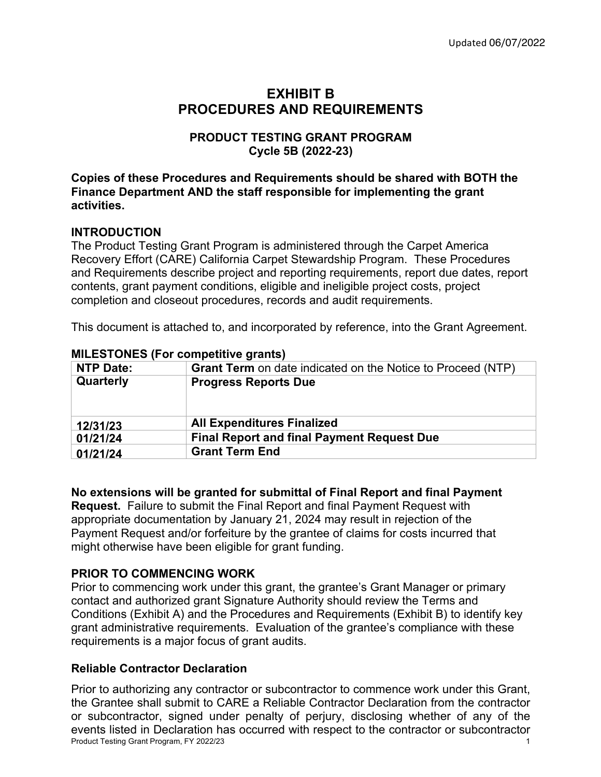# **EXHIBIT B PROCEDURES AND REQUIREMENTS**

## **PRODUCT TESTING GRANT PROGRAM Cycle 5B (2022-23)**

**Copies of these Procedures and Requirements should be shared with BOTH the Finance Department AND the staff responsible for implementing the grant activities.**

## **INTRODUCTION**

The Product Testing Grant Program is administered through the Carpet America Recovery Effort (CARE) California Carpet Stewardship Program. These Procedures and Requirements describe project and reporting requirements, report due dates, report contents, grant payment conditions, eligible and ineligible project costs, project completion and closeout procedures, records and audit requirements.

This document is attached to, and incorporated by reference, into the Grant Agreement.

| <b>Grant Term</b> on date indicated on the Notice to Proceed (NTP) |
|--------------------------------------------------------------------|
| <b>Progress Reports Due</b>                                        |
|                                                                    |
|                                                                    |
|                                                                    |
| <b>All Expenditures Finalized</b>                                  |
| <b>Final Report and final Payment Request Due</b>                  |
| <b>Grant Term End</b>                                              |
|                                                                    |

#### **MILESTONES (For competitive grants)**

#### **No extensions will be granted for submittal of Final Report and final Payment**

**Request.** Failure to submit the Final Report and final Payment Request with appropriate documentation by January 21, 2024 may result in rejection of the Payment Request and/or forfeiture by the grantee of claims for costs incurred that might otherwise have been eligible for grant funding.

## **PRIOR TO COMMENCING WORK**

Prior to commencing work under this grant, the grantee's Grant Manager or primary contact and authorized grant Signature Authority should review the Terms and Conditions (Exhibit A) and the Procedures and Requirements (Exhibit B) to identify key grant administrative requirements. Evaluation of the grantee's compliance with these requirements is a major focus of grant audits.

#### **Reliable Contractor Declaration**

Product Testing Grant Program, FY 2022/23 1 Prior to authorizing any contractor or subcontractor to commence work under this Grant, the Grantee shall submit to CARE a Reliable Contractor Declaration from the contractor or subcontractor, signed under penalty of perjury, disclosing whether of any of the events listed in Declaration has occurred with respect to the contractor or subcontractor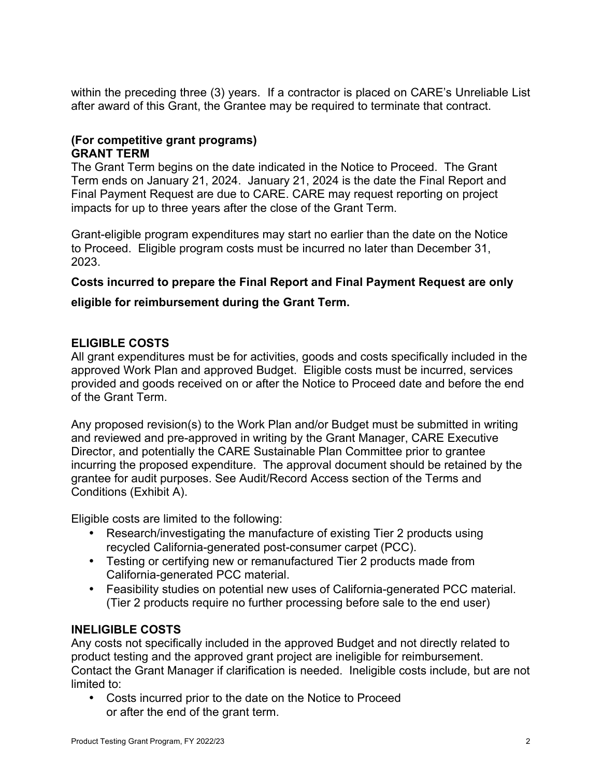within the preceding three (3) years. If a contractor is placed on CARE's Unreliable List after award of this Grant, the Grantee may be required to terminate that contract.

## **(For competitive grant programs) GRANT TERM**

The Grant Term begins on the date indicated in the Notice to Proceed. The Grant Term ends on January 21, 2024. January 21, 2024 is the date the Final Report and Final Payment Request are due to CARE. CARE may request reporting on project impacts for up to three years after the close of the Grant Term.

Grant-eligible program expenditures may start no earlier than the date on the Notice to Proceed. Eligible program costs must be incurred no later than December 31, 2023.

## **Costs incurred to prepare the Final Report and Final Payment Request are only**

#### **eligible for reimbursement during the Grant Term.**

#### **ELIGIBLE COSTS**

All grant expenditures must be for activities, goods and costs specifically included in the approved Work Plan and approved Budget. Eligible costs must be incurred, services provided and goods received on or after the Notice to Proceed date and before the end of the Grant Term.

Any proposed revision(s) to the Work Plan and/or Budget must be submitted in writing and reviewed and pre-approved in writing by the Grant Manager, CARE Executive Director, and potentially the CARE Sustainable Plan Committee prior to grantee incurring the proposed expenditure. The approval document should be retained by the grantee for audit purposes. See Audit/Record Access section of the Terms and Conditions (Exhibit A).

Eligible costs are limited to the following:

- Research/investigating the manufacture of existing Tier 2 products using recycled California-generated post-consumer carpet (PCC).
- Testing or certifying new or remanufactured Tier 2 products made from California-generated PCC material.
- Feasibility studies on potential new uses of California-generated PCC material. (Tier 2 products require no further processing before sale to the end user)

# **INELIGIBLE COSTS**

Any costs not specifically included in the approved Budget and not directly related to product testing and the approved grant project are ineligible for reimbursement. Contact the Grant Manager if clarification is needed. Ineligible costs include, but are not limited to:

• Costs incurred prior to the date on the Notice to Proceed or after the end of the grant term.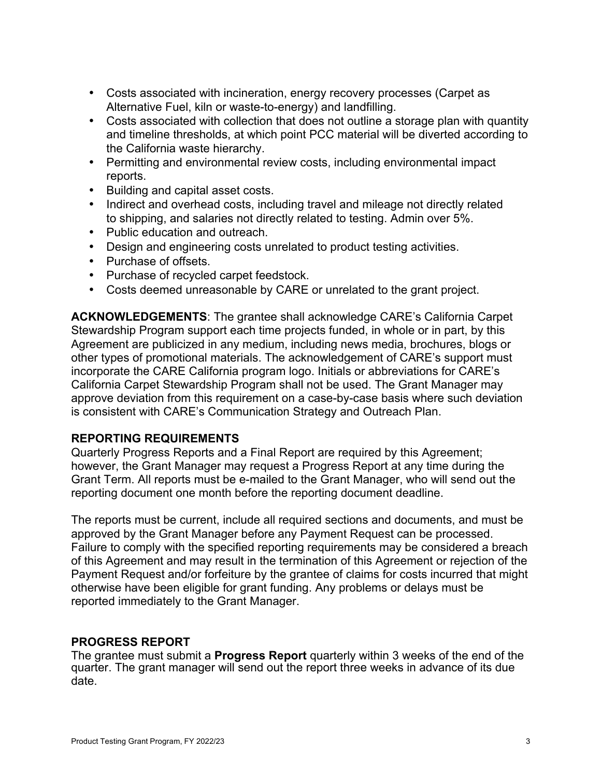- Costs associated with incineration, energy recovery processes (Carpet as Alternative Fuel, kiln or waste-to-energy) and landfilling.
- Costs associated with collection that does not outline a storage plan with quantity and timeline thresholds, at which point PCC material will be diverted according to the California waste hierarchy.
- Permitting and environmental review costs, including environmental impact reports.
- Building and capital asset costs.
- Indirect and overhead costs, including travel and mileage not directly related to shipping, and salaries not directly related to testing. Admin over 5%.
- Public education and outreach.
- Design and engineering costs unrelated to product testing activities.
- Purchase of offsets.
- Purchase of recycled carpet feedstock.
- Costs deemed unreasonable by CARE or unrelated to the grant project.

**ACKNOWLEDGEMENTS**: The grantee shall acknowledge CARE's California Carpet Stewardship Program support each time projects funded, in whole or in part, by this Agreement are publicized in any medium, including news media, brochures, blogs or other types of promotional materials. The acknowledgement of CARE's support must incorporate the CARE California program logo. Initials or abbreviations for CARE's California Carpet Stewardship Program shall not be used. The Grant Manager may approve deviation from this requirement on a case-by-case basis where such deviation is consistent with CARE's Communication Strategy and Outreach Plan.

# **REPORTING REQUIREMENTS**

Quarterly Progress Reports and a Final Report are required by this Agreement; however, the Grant Manager may request a Progress Report at any time during the Grant Term. All reports must be e-mailed to the Grant Manager, who will send out the reporting document one month before the reporting document deadline.

The reports must be current, include all required sections and documents, and must be approved by the Grant Manager before any Payment Request can be processed. Failure to comply with the specified reporting requirements may be considered a breach of this Agreement and may result in the termination of this Agreement or rejection of the Payment Request and/or forfeiture by the grantee of claims for costs incurred that might otherwise have been eligible for grant funding. Any problems or delays must be reported immediately to the Grant Manager.

# **PROGRESS REPORT**

The grantee must submit a **Progress Report** quarterly within 3 weeks of the end of the quarter. The grant manager will send out the report three weeks in advance of its due date.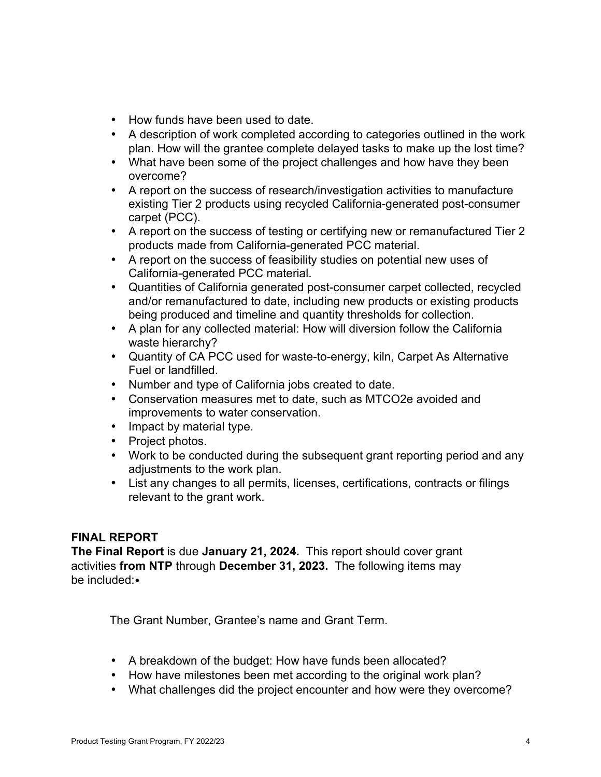- How funds have been used to date.
- A description of work completed according to categories outlined in the work plan. How will the grantee complete delayed tasks to make up the lost time?
- What have been some of the project challenges and how have they been overcome?
- A report on the success of research/investigation activities to manufacture existing Tier 2 products using recycled California-generated post-consumer carpet (PCC).
- A report on the success of testing or certifying new or remanufactured Tier 2 products made from California-generated PCC material.
- A report on the success of feasibility studies on potential new uses of California-generated PCC material.
- Quantities of California generated post-consumer carpet collected, recycled and/or remanufactured to date, including new products or existing products being produced and timeline and quantity thresholds for collection.
- A plan for any collected material: How will diversion follow the California waste hierarchy?
- Quantity of CA PCC used for waste-to-energy, kiln, Carpet As Alternative Fuel or landfilled.
- Number and type of California jobs created to date.
- Conservation measures met to date, such as MTCO2e avoided and improvements to water conservation.
- Impact by material type.
- Project photos.
- Work to be conducted during the subsequent grant reporting period and any adjustments to the work plan.
- List any changes to all permits, licenses, certifications, contracts or filings relevant to the grant work.

#### **FINAL REPORT**

**The Final Report** is due **January 21, 2024.** This report should cover grant activities **from NTP** through **December 31, 2023.** The following items may be included:•

The Grant Number, Grantee's name and Grant Term.

- A breakdown of the budget: How have funds been allocated?
- How have milestones been met according to the original work plan?
- What challenges did the project encounter and how were they overcome?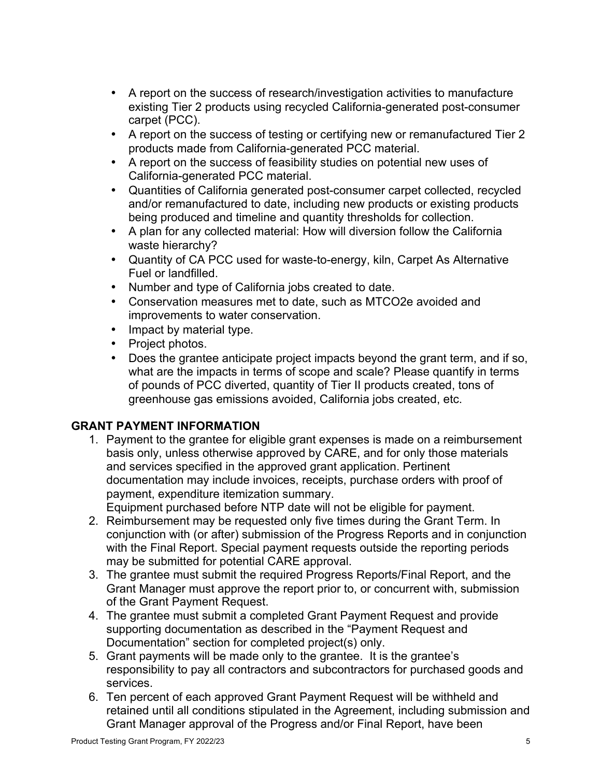- A report on the success of research/investigation activities to manufacture existing Tier 2 products using recycled California-generated post-consumer carpet (PCC).
- A report on the success of testing or certifying new or remanufactured Tier 2 products made from California-generated PCC material.
- A report on the success of feasibility studies on potential new uses of California-generated PCC material.
- Quantities of California generated post-consumer carpet collected, recycled and/or remanufactured to date, including new products or existing products being produced and timeline and quantity thresholds for collection.
- A plan for any collected material: How will diversion follow the California waste hierarchy?
- Quantity of CA PCC used for waste-to-energy, kiln, Carpet As Alternative Fuel or landfilled.
- Number and type of California jobs created to date.
- Conservation measures met to date, such as MTCO2e avoided and improvements to water conservation.
- Impact by material type.
- Project photos.
- Does the grantee anticipate project impacts beyond the grant term, and if so, what are the impacts in terms of scope and scale? Please quantify in terms of pounds of PCC diverted, quantity of Tier II products created, tons of greenhouse gas emissions avoided, California jobs created, etc.

# **GRANT PAYMENT INFORMATION**

1. Payment to the grantee for eligible grant expenses is made on a reimbursement basis only, unless otherwise approved by CARE, and for only those materials and services specified in the approved grant application. Pertinent documentation may include invoices, receipts, purchase orders with proof of payment, expenditure itemization summary.

Equipment purchased before NTP date will not be eligible for payment.

- 2. Reimbursement may be requested only five times during the Grant Term. In conjunction with (or after) submission of the Progress Reports and in conjunction with the Final Report. Special payment requests outside the reporting periods may be submitted for potential CARE approval.
- 3. The grantee must submit the required Progress Reports/Final Report, and the Grant Manager must approve the report prior to, or concurrent with, submission of the Grant Payment Request.
- 4. The grantee must submit a completed Grant Payment Request and provide supporting documentation as described in the "Payment Request and Documentation" section for completed project(s) only.
- 5. Grant payments will be made only to the grantee. It is the grantee's responsibility to pay all contractors and subcontractors for purchased goods and services.
- 6. Ten percent of each approved Grant Payment Request will be withheld and retained until all conditions stipulated in the Agreement, including submission and Grant Manager approval of the Progress and/or Final Report, have been